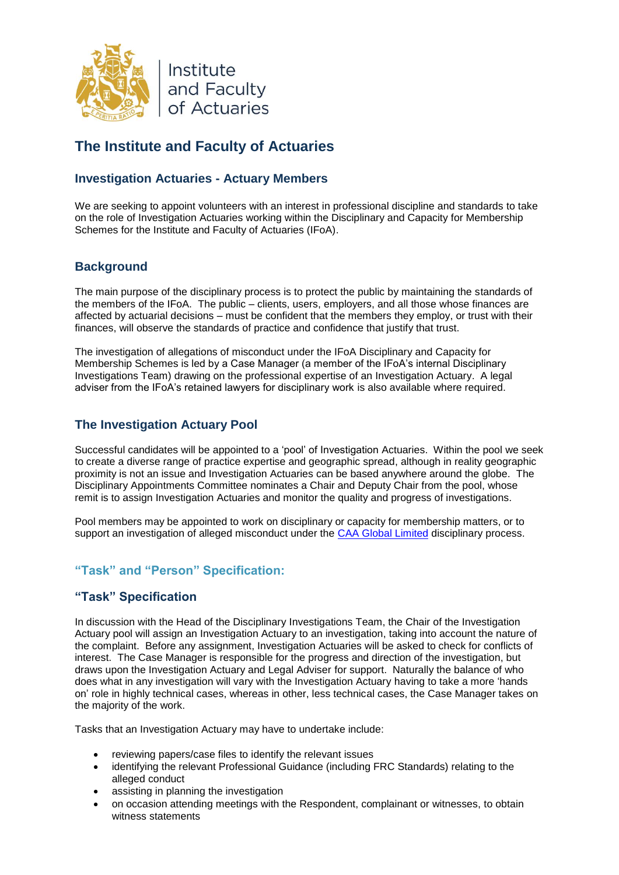

# **The Institute and Faculty of Actuaries**

# **Investigation Actuaries - Actuary Members**

We are seeking to appoint volunteers with an interest in professional discipline and standards to take on the role of Investigation Actuaries working within the Disciplinary and Capacity for Membership Schemes for the Institute and Faculty of Actuaries (IFoA).

# **Background**

The main purpose of the disciplinary process is to protect the public by maintaining the standards of the members of the IFoA. The public – clients, users, employers, and all those whose finances are affected by actuarial decisions – must be confident that the members they employ, or trust with their finances, will observe the standards of practice and confidence that justify that trust.

The investigation of allegations of misconduct under the IFoA Disciplinary and Capacity for Membership Schemes is led by a Case Manager (a member of the IFoA's internal Disciplinary Investigations Team) drawing on the professional expertise of an Investigation Actuary. A legal adviser from the IFoA's retained lawyers for disciplinary work is also available where required.

# **The Investigation Actuary Pool**

Successful candidates will be appointed to a 'pool' of Investigation Actuaries. Within the pool we seek to create a diverse range of practice expertise and geographic spread, although in reality geographic proximity is not an issue and Investigation Actuaries can be based anywhere around the globe. The Disciplinary Appointments Committee nominates a Chair and Deputy Chair from the pool, whose remit is to assign Investigation Actuaries and monitor the quality and progress of investigations.

Pool members may be appointed to work on disciplinary or capacity for membership matters, or to support an investigation of alleged misconduct under the [CAA Global Limited](https://www.caa-global.org/welcome-caa-global/how-to-qualify/terms-and-conditions) disciplinary process.

# **"Task" and "Person" Specification:**

# **"Task" Specification**

In discussion with the Head of the Disciplinary Investigations Team, the Chair of the Investigation Actuary pool will assign an Investigation Actuary to an investigation, taking into account the nature of the complaint. Before any assignment, Investigation Actuaries will be asked to check for conflicts of interest. The Case Manager is responsible for the progress and direction of the investigation, but draws upon the Investigation Actuary and Legal Adviser for support. Naturally the balance of who does what in any investigation will vary with the Investigation Actuary having to take a more 'hands on' role in highly technical cases, whereas in other, less technical cases, the Case Manager takes on the majority of the work.

Tasks that an Investigation Actuary may have to undertake include:

- reviewing papers/case files to identify the relevant issues
- identifying the relevant Professional Guidance (including FRC Standards) relating to the alleged conduct
- assisting in planning the investigation
- on occasion attending meetings with the Respondent, complainant or witnesses, to obtain witness statements